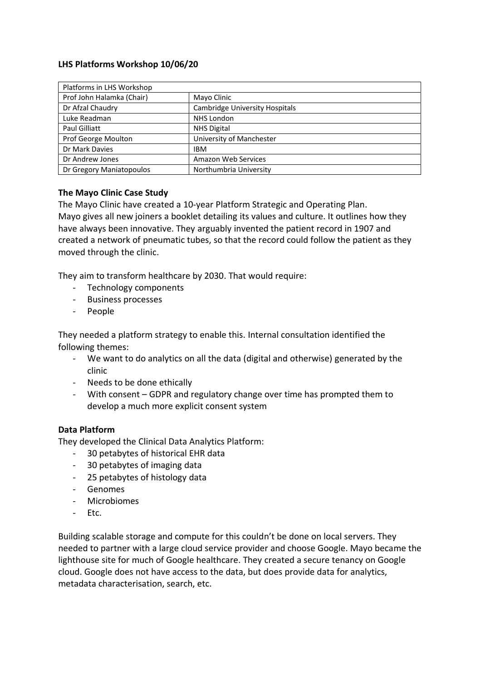## **LHS Platforms Workshop 10/06/20**

| Platforms in LHS Workshop |                                |
|---------------------------|--------------------------------|
| Prof John Halamka (Chair) | Mayo Clinic                    |
| Dr Afzal Chaudry          | Cambridge University Hospitals |
| Luke Readman              | <b>NHS London</b>              |
| Paul Gilliatt             | <b>NHS Digital</b>             |
| Prof George Moulton       | University of Manchester       |
| Dr Mark Davies            | <b>IBM</b>                     |
| Dr Andrew Jones           | Amazon Web Services            |
| Dr Gregory Maniatopoulos  | Northumbria University         |

## **The Mayo Clinic Case Study**

The Mayo Clinic have created a 10-year Platform Strategic and Operating Plan. Mayo gives all new joiners a booklet detailing its values and culture. It outlines how they have always been innovative. They arguably invented the patient record in 1907 and created a network of pneumatic tubes, so that the record could follow the patient as they moved through the clinic.

They aim to transform healthcare by 2030. That would require:

- Technology components
- Business processes
- People

They needed a platform strategy to enable this. Internal consultation identified the following themes:

- We want to do analytics on all the data (digital and otherwise) generated by the clinic
- Needs to be done ethically
- With consent GDPR and regulatory change over time has prompted them to develop a much more explicit consent system

## **Data Platform**

They developed the Clinical Data Analytics Platform:

- 30 petabytes of historical EHR data
- 30 petabytes of imaging data
- 25 petabytes of histology data
- Genomes
- Microbiomes
- Etc.

Building scalable storage and compute for this couldn't be done on local servers. They needed to partner with a large cloud service provider and choose Google. Mayo became the lighthouse site for much of Google healthcare. They created a secure tenancy on Google cloud. Google does not have access to the data, but does provide data for analytics, metadata characterisation, search, etc.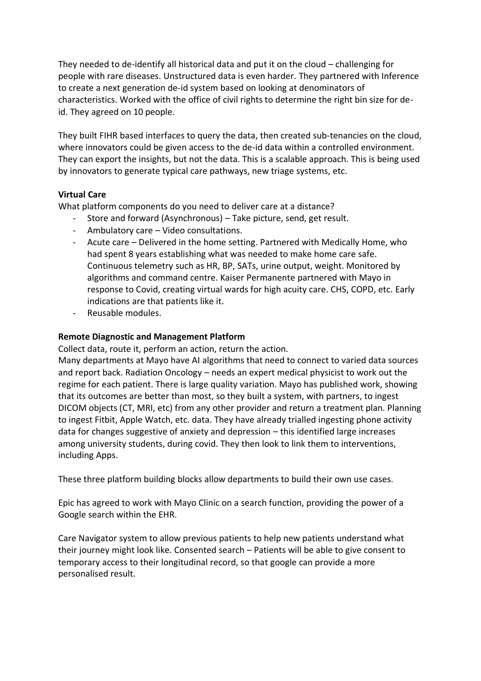They needed to de-identify all historical data and put it on the cloud – challenging for people with rare diseases. Unstructured data is even harder. They partnered with Inference to create a next generation de-id system based on looking at denominators of characteristics. Worked with the office of civil rights to determine the right bin size for deid. They agreed on 10 people.

They built FIHR based interfaces to query the data, then created sub-tenancies on the cloud, where innovators could be given access to the de-id data within a controlled environment. They can export the insights, but not the data. This is a scalable approach. This is being used by innovators to generate typical care pathways, new triage systems, etc.

## **Virtual Care**

What platform components do you need to deliver care at a distance?

- Store and forward (Asynchronous) Take picture, send, get result.
- Ambulatory care Video consultations.
- Acute care Delivered in the home setting. Partnered with Medically Home, who had spent 8 years establishing what was needed to make home care safe. Continuous telemetry such as HR, BP, SATs, urine output, weight. Monitored by algorithms and command centre. Kaiser Permanente partnered with Mayo in response to Covid, creating virtual wards for high acuity care. CHS, COPD, etc. Early indications are that patients like it.
- Reusable modules.

# **Remote Diagnostic and Management Platform**

Collect data, route it, perform an action, return the action.

Many departments at Mayo have AI algorithms that need to connect to varied data sources and report back. Radiation Oncology – needs an expert medical physicist to work out the regime for each patient. There is large quality variation. Mayo has published work, showing that its outcomes are better than most, so they built a system, with partners, to ingest DICOM objects (CT, MRI, etc) from any other provider and return a treatment plan. Planning to ingest Fitbit, Apple Watch, etc. data. They have already trialled ingesting phone activity data for changes suggestive of anxiety and depression – this identified large increases among university students, during covid. They then look to link them to interventions, including Apps.

These three platform building blocks allow departments to build their own use cases.

Epic has agreed to work with Mayo Clinic on a search function, providing the power of a Google search within the EHR.

Care Navigator system to allow previous patients to help new patients understand what their journey might look like. Consented search – Patients will be able to give consent to temporary access to their longitudinal record, so that google can provide a more personalised result.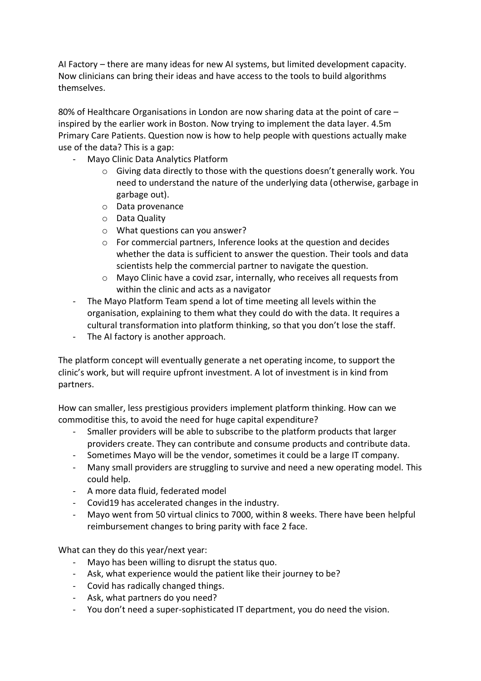AI Factory – there are many ideas for new AI systems, but limited development capacity. Now clinicians can bring their ideas and have access to the tools to build algorithms themselves.

80% of Healthcare Organisations in London are now sharing data at the point of care – inspired by the earlier work in Boston. Now trying to implement the data layer. 4.5m Primary Care Patients. Question now is how to help people with questions actually make use of the data? This is a gap:

- Mayo Clinic Data Analytics Platform
	- o Giving data directly to those with the questions doesn't generally work. You need to understand the nature of the underlying data (otherwise, garbage in garbage out).
	- o Data provenance
	- o Data Quality
	- o What questions can you answer?
	- o For commercial partners, Inference looks at the question and decides whether the data is sufficient to answer the question. Their tools and data scientists help the commercial partner to navigate the question.
	- o Mayo Clinic have a covid zsar, internally, who receives all requests from within the clinic and acts as a navigator
- The Mayo Platform Team spend a lot of time meeting all levels within the organisation, explaining to them what they could do with the data. It requires a cultural transformation into platform thinking, so that you don't lose the staff.
- The AI factory is another approach.

The platform concept will eventually generate a net operating income, to support the clinic's work, but will require upfront investment. A lot of investment is in kind from partners.

How can smaller, less prestigious providers implement platform thinking. How can we commoditise this, to avoid the need for huge capital expenditure?

- Smaller providers will be able to subscribe to the platform products that larger providers create. They can contribute and consume products and contribute data.
- Sometimes Mayo will be the vendor, sometimes it could be a large IT company.
- Many small providers are struggling to survive and need a new operating model. This could help.
- A more data fluid, federated model
- Covid19 has accelerated changes in the industry.
- Mayo went from 50 virtual clinics to 7000, within 8 weeks. There have been helpful reimbursement changes to bring parity with face 2 face.

What can they do this year/next year:

- Mayo has been willing to disrupt the status quo.
- Ask, what experience would the patient like their journey to be?
- Covid has radically changed things.
- Ask, what partners do you need?
- You don't need a super-sophisticated IT department, you do need the vision.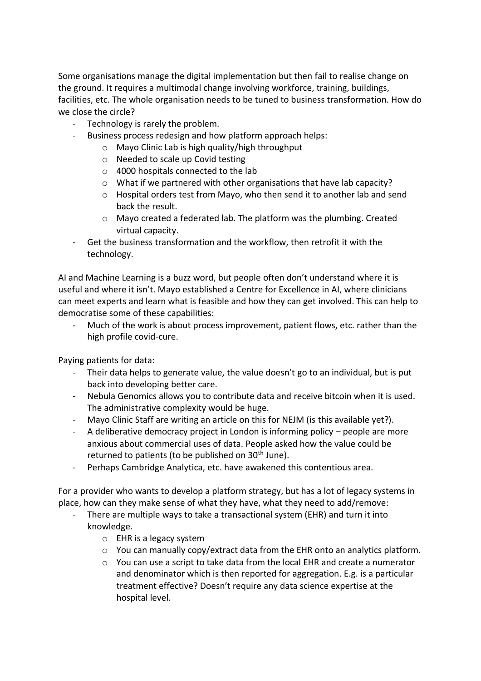Some organisations manage the digital implementation but then fail to realise change on the ground. It requires a multimodal change involving workforce, training, buildings, facilities, etc. The whole organisation needs to be tuned to business transformation. How do we close the circle?

- Technology is rarely the problem.
- Business process redesign and how platform approach helps:
	- o Mayo Clinic Lab is high quality/high throughput
	- o Needed to scale up Covid testing
	- o 4000 hospitals connected to the lab
	- o What if we partnered with other organisations that have lab capacity?
	- $\circ$  Hospital orders test from Mayo, who then send it to another lab and send back the result.
	- o Mayo created a federated lab. The platform was the plumbing. Created virtual capacity.
- Get the business transformation and the workflow, then retrofit it with the technology.

AI and Machine Learning is a buzz word, but people often don't understand where it is useful and where it isn't. Mayo established a Centre for Excellence in AI, where clinicians can meet experts and learn what is feasible and how they can get involved. This can help to democratise some of these capabilities:

Much of the work is about process improvement, patient flows, etc. rather than the high profile covid-cure.

Paying patients for data:

- Their data helps to generate value, the value doesn't go to an individual, but is put back into developing better care.
- Nebula Genomics allows you to contribute data and receive bitcoin when it is used. The administrative complexity would be huge.
- Mayo Clinic Staff are writing an article on this for NEJM (is this available yet?).
- A deliberative democracy project in London is informing policy people are more anxious about commercial uses of data. People asked how the value could be returned to patients (to be published on 30<sup>th</sup> June).
- Perhaps Cambridge Analytica, etc. have awakened this contentious area.

For a provider who wants to develop a platform strategy, but has a lot of legacy systems in place, how can they make sense of what they have, what they need to add/remove:

- There are multiple ways to take a transactional system (EHR) and turn it into knowledge.
	- o EHR is a legacy system
	- $\circ$  You can manually copy/extract data from the EHR onto an analytics platform.
	- $\circ$  You can use a script to take data from the local EHR and create a numerator and denominator which is then reported for aggregation. E.g. is a particular treatment effective? Doesn't require any data science expertise at the hospital level.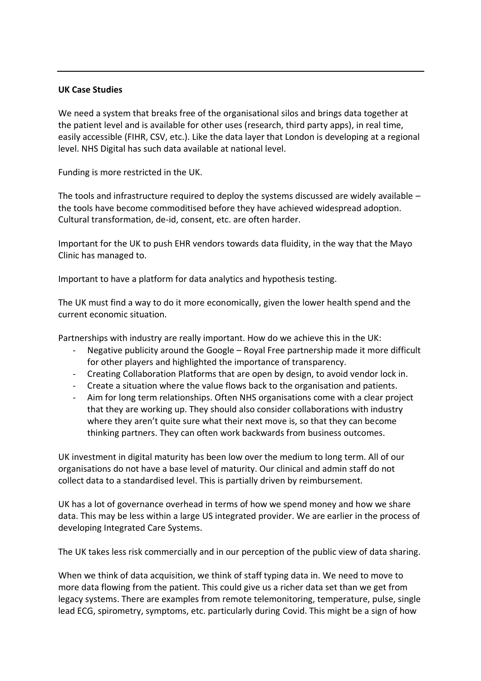### **UK Case Studies**

We need a system that breaks free of the organisational silos and brings data together at the patient level and is available for other uses (research, third party apps), in real time, easily accessible (FIHR, CSV, etc.). Like the data layer that London is developing at a regional level. NHS Digital has such data available at national level.

Funding is more restricted in the UK.

The tools and infrastructure required to deploy the systems discussed are widely available – the tools have become commoditised before they have achieved widespread adoption. Cultural transformation, de-id, consent, etc. are often harder.

Important for the UK to push EHR vendors towards data fluidity, in the way that the Mayo Clinic has managed to.

Important to have a platform for data analytics and hypothesis testing.

The UK must find a way to do it more economically, given the lower health spend and the current economic situation.

Partnerships with industry are really important. How do we achieve this in the UK:

- Negative publicity around the Google Royal Free partnership made it more difficult for other players and highlighted the importance of transparency.
- Creating Collaboration Platforms that are open by design, to avoid vendor lock in.
- Create a situation where the value flows back to the organisation and patients.
- Aim for long term relationships. Often NHS organisations come with a clear project that they are working up. They should also consider collaborations with industry where they aren't quite sure what their next move is, so that they can become thinking partners. They can often work backwards from business outcomes.

UK investment in digital maturity has been low over the medium to long term. All of our organisations do not have a base level of maturity. Our clinical and admin staff do not collect data to a standardised level. This is partially driven by reimbursement.

UK has a lot of governance overhead in terms of how we spend money and how we share data. This may be less within a large US integrated provider. We are earlier in the process of developing Integrated Care Systems.

The UK takes less risk commercially and in our perception of the public view of data sharing.

When we think of data acquisition, we think of staff typing data in. We need to move to more data flowing from the patient. This could give us a richer data set than we get from legacy systems. There are examples from remote telemonitoring, temperature, pulse, single lead ECG, spirometry, symptoms, etc. particularly during Covid. This might be a sign of how